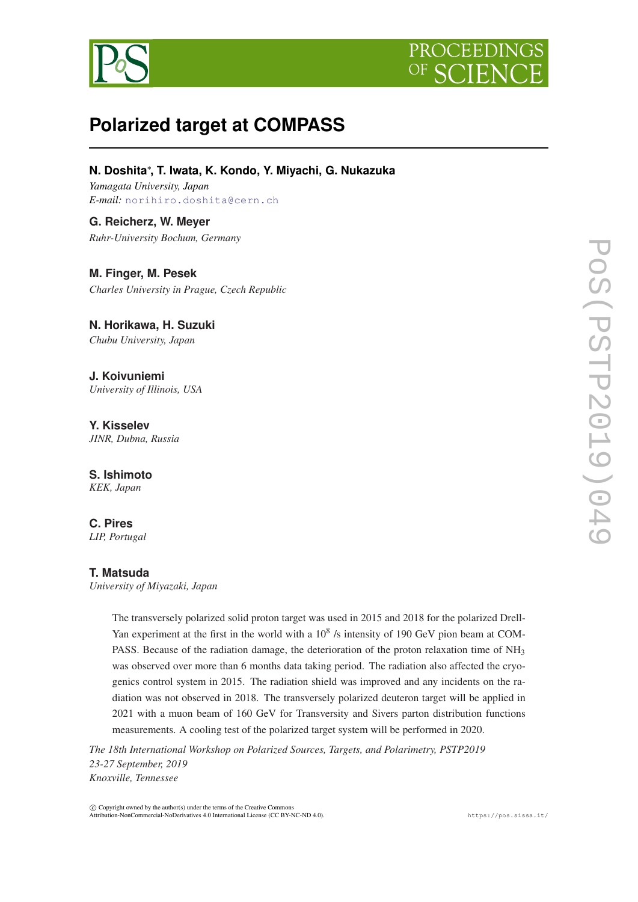



# **Polarized target at COMPASS**

**N. Doshita**<sup>∗</sup> **, T. Iwata, K. Kondo, Y. Miyachi, G. Nukazuka**

*Yamagata University, Japan E-mail:* [norihiro.doshita@cern.ch](mailto:norihiro.doshita@cern.ch)

**G. Reicherz, W. Meyer** *Ruhr-University Bochum, Germany*

**M. Finger, M. Pesek** *Charles University in Prague, Czech Republic*

**N. Horikawa, H. Suzuki** *Chubu University, Japan*

**J. Koivuniemi** *University of Illinois, USA*

**Y. Kisselev** *JINR, Dubna, Russia*

**S. Ishimoto** *KEK, Japan*

**C. Pires** *LIP, Portugal*

## **T. Matsuda**

*University of Miyazaki, Japan*

The transversely polarized solid proton target was used in 2015 and 2018 for the polarized Drell-Yan experiment at the first in the world with a  $10^8$  /s intensity of 190 GeV pion beam at COM-PASS. Because of the radiation damage, the deterioration of the proton relaxation time of NH<sub>3</sub> was observed over more than 6 months data taking period. The radiation also affected the cryogenics control system in 2015. The radiation shield was improved and any incidents on the radiation was not observed in 2018. The transversely polarized deuteron target will be applied in 2021 with a muon beam of 160 GeV for Transversity and Sivers parton distribution functions measurements. A cooling test of the polarized target system will be performed in 2020.

*The 18th International Workshop on Polarized Sources, Targets, and Polarimetry, PSTP2019 23-27 September, 2019 Knoxville, Tennessee*

 $(C)$  Copyright owned by the author(s) under the terms of the Creative Common Attribution-NonCommercial-NoDerivatives 4.0 International License (CC BY-NC-ND 4.0). https://pos.sissa.it/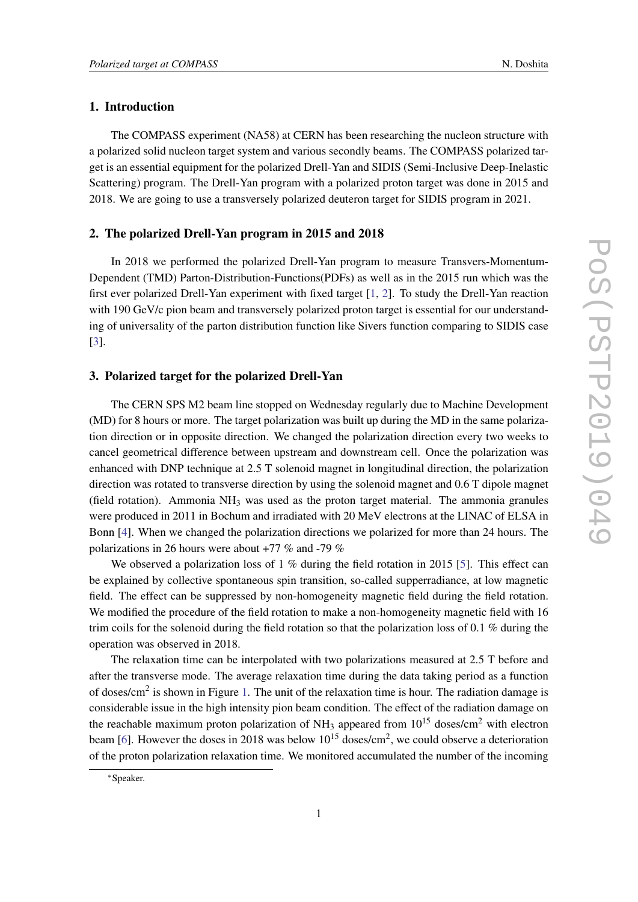# 1. Introduction

The COMPASS experiment (NA58) at CERN has been researching the nucleon structure with a polarized solid nucleon target system and various secondly beams. The COMPASS polarized target is an essential equipment for the polarized Drell-Yan and SIDIS (Semi-Inclusive Deep-Inelastic Scattering) program. The Drell-Yan program with a polarized proton target was done in 2015 and 2018. We are going to use a transversely polarized deuteron target for SIDIS program in 2021.

#### 2. The polarized Drell-Yan program in 2015 and 2018

In 2018 we performed the polarized Drell-Yan program to measure Transvers-Momentum-Dependent (TMD) Parton-Distribution-Functions(PDFs) as well as in the 2015 run which was the first ever polarized Drell-Yan experiment with fixed target [\[1,](#page-5-0) [2](#page-5-0)]. To study the Drell-Yan reaction with 190 GeV/c pion beam and transversely polarized proton target is essential for our understanding of universality of the parton distribution function like Sivers function comparing to SIDIS case [[3](#page-5-0)].

#### 3. Polarized target for the polarized Drell-Yan

The CERN SPS M2 beam line stopped on Wednesday regularly due to Machine Development (MD) for 8 hours or more. The target polarization was built up during the MD in the same polarization direction or in opposite direction. We changed the polarization direction every two weeks to cancel geometrical difference between upstream and downstream cell. Once the polarization was enhanced with DNP technique at 2.5 T solenoid magnet in longitudinal direction, the polarization direction was rotated to transverse direction by using the solenoid magnet and 0.6 T dipole magnet (field rotation). Ammonia  $NH_3$  was used as the proton target material. The ammonia granules were produced in 2011 in Bochum and irradiated with 20 MeV electrons at the LINAC of ELSA in Bonn [\[4\]](#page-5-0). When we changed the polarization directions we polarized for more than 24 hours. The polarizations in 26 hours were about +77 % and -79 %

We observed a polarization loss of 1 % during the field rotation in 2015 [[5\]](#page-5-0). This effect can be explained by collective spontaneous spin transition, so-called supperradiance, at low magnetic field. The effect can be suppressed by non-homogeneity magnetic field during the field rotation. We modified the procedure of the field rotation to make a non-homogeneity magnetic field with 16 trim coils for the solenoid during the field rotation so that the polarization loss of 0.1 % during the operation was observed in 2018.

The relaxation time can be interpolated with two polarizations measured at 2.5 T before and after the transverse mode. The average relaxation time during the data taking period as a function of doses/cm<sup>2</sup> is shown in Figure [1.](#page-2-0) The unit of the relaxation time is hour. The radiation damage is considerable issue in the high intensity pion beam condition. The effect of the radiation damage on the reachable maximum proton polarization of NH<sub>3</sub> appeared from  $10^{15}$  doses/cm<sup>2</sup> with electron beam [\[6\]](#page-5-0). However the doses in 2018 was below  $10^{15}$  doses/cm<sup>2</sup>, we could observe a deterioration of the proton polarization relaxation time. We monitored accumulated the number of the incoming

<sup>∗</sup>Speaker.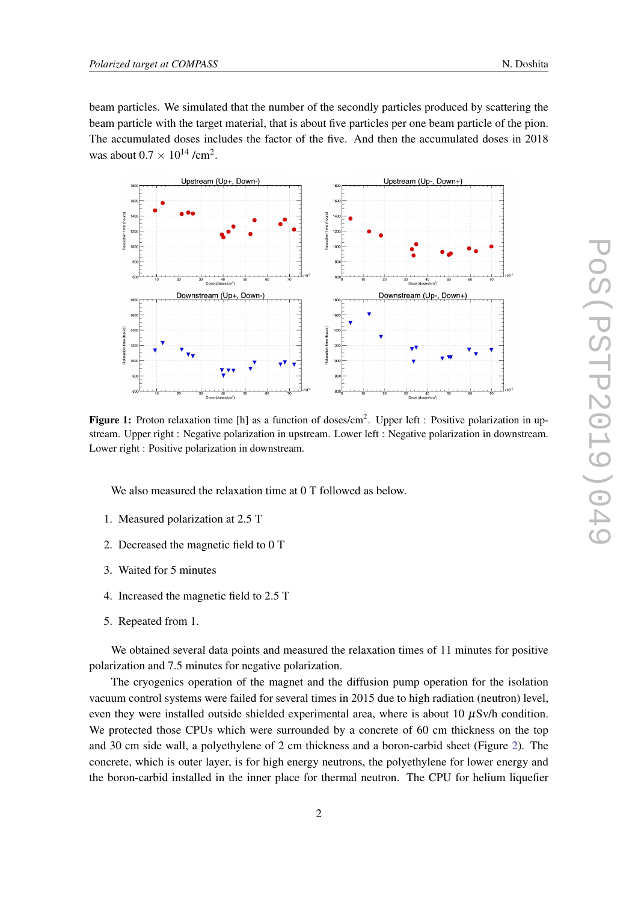<span id="page-2-0"></span>beam particles. We simulated that the number of the secondly particles produced by scattering the beam particle with the target material, that is about five particles per one beam particle of the pion. The accumulated doses includes the factor of the five. And then the accumulated doses in 2018 was about  $0.7 \times 10^{14}$  /cm<sup>2</sup>.



Figure 1: Proton relaxation time [h] as a function of doses/cm<sup>2</sup>. Upper left : Positive polarization in upstream. Upper right : Negative polarization in upstream. Lower left : Negative polarization in downstream. Lower right : Positive polarization in downstream.

We also measured the relaxation time at 0 T followed as below.

- 1. Measured polarization at 2.5 T
- 2. Decreased the magnetic field to 0 T
- 3. Waited for 5 minutes
- 4. Increased the magnetic field to 2.5 T
- 5. Repeated from 1.

We obtained several data points and measured the relaxation times of 11 minutes for positive polarization and 7.5 minutes for negative polarization.

The cryogenics operation of the magnet and the diffusion pump operation for the isolation vacuum control systems were failed for several times in 2015 due to high radiation (neutron) level, even they were installed outside shielded experimental area, where is about 10  $\mu$ Sv/h condition. We protected those CPUs which were surrounded by a concrete of 60 cm thickness on the top and 30 cm side wall, a polyethylene of 2 cm thickness and a boron-carbid sheet (Figure [2](#page-3-0)). The concrete, which is outer layer, is for high energy neutrons, the polyethylene for lower energy and the boron-carbid installed in the inner place for thermal neutron. The CPU for helium liquefier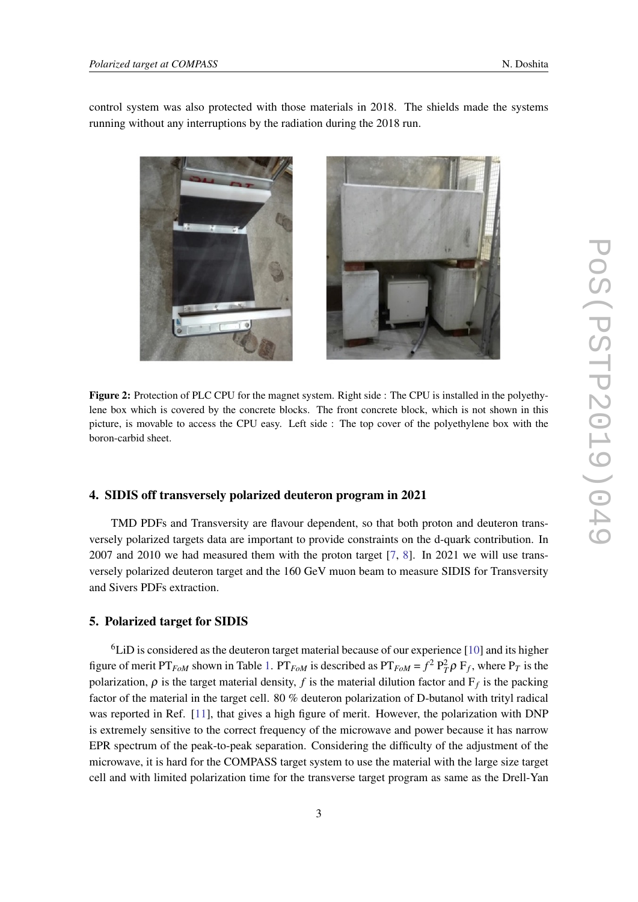<span id="page-3-0"></span>control system was also protected with those materials in 2018. The shields made the systems running without any interruptions by the radiation during the 2018 run.

lene box which is covered by the concrete blocks. The front concrete block, which is not shown in this picture, is movable to access the CPU easy. Left side : The top cover of the polyethylene box with the boron-carbid sheet.

Figure 2: Protection of PLC CPU for the magnet system. Right side : The CPU is installed in the polyethy-

#### 4. SIDIS off transversely polarized deuteron program in 2021

TMD PDFs and Transversity are flavour dependent, so that both proton and deuteron transversely polarized targets data are important to provide constraints on the d-quark contribution. In 2007 and 2010 we had measured them with the proton target [\[7,](#page-5-0) [8](#page-5-0)]. In 2021 we will use transversely polarized deuteron target and the 160 GeV muon beam to measure SIDIS for Transversity and Sivers PDFs extraction.

#### 5. Polarized target for SIDIS

<sup>6</sup>LiD is considered as the deuteron target material because of our experience [[10\]](#page-5-0) and its higher figure of merit PT<sub>*FoM*</sub> shown in Table [1.](#page-4-0) PT<sub>*FoM*</sub> is described as PT<sub>*FoM*</sub> =  $f^2 P_T^2 \rho F_f$ , where P<sub>*T*</sub> is the polarization,  $\rho$  is the target material density,  $f$  is the material dilution factor and  $F_f$  is the packing factor of the material in the target cell. 80 % deuteron polarization of D-butanol with trityl radical was reported in Ref. [[11\]](#page-5-0), that gives a high figure of merit. However, the polarization with DNP is extremely sensitive to the correct frequency of the microwave and power because it has narrow EPR spectrum of the peak-to-peak separation. Considering the difficulty of the adjustment of the microwave, it is hard for the COMPASS target system to use the material with the large size target cell and with limited polarization time for the transverse target program as same as the Drell-Yan

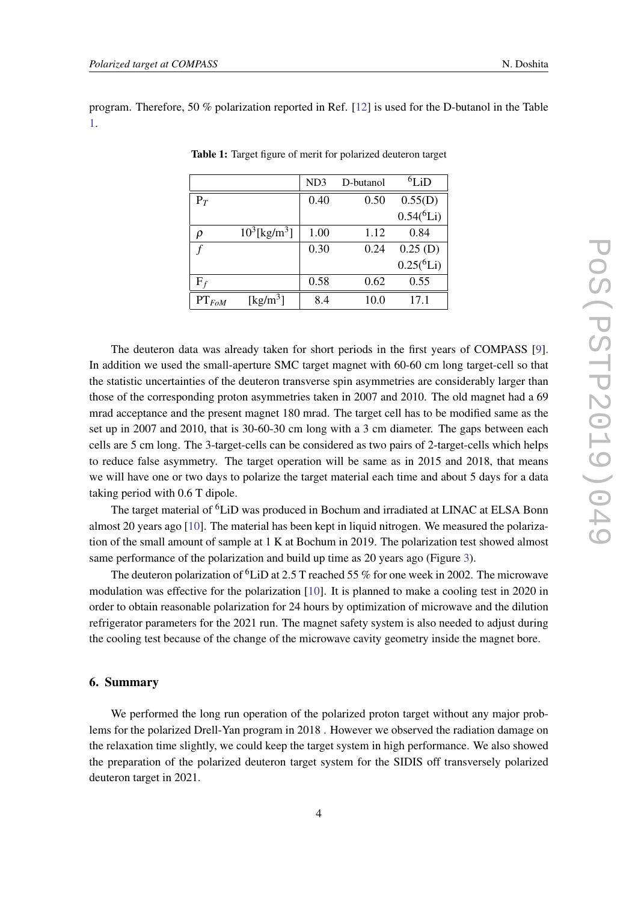<span id="page-4-0"></span>program. Therefore, 50 % polarization reported in Ref. [[12\]](#page-5-0) is used for the D-butanol in the Table 1.

|                |                                | ND <sub>3</sub> | D-butanol | ${}^{6}$ LiD   |
|----------------|--------------------------------|-----------------|-----------|----------------|
| $P_T$          |                                | 0.40            | 0.50      | 0.55(D)        |
|                |                                |                 |           | $0.54(^{6}Li)$ |
| ρ              | $10^3$ [kg/m <sup>3</sup> ]    | 1.00            | 1.12      | 0.84           |
|                |                                | 0.30            | 0.24      | 0.25(D)        |
|                |                                |                 |           | $0.25(^{6}Li)$ |
| $\mathrm{F}_f$ |                                | 0.58            | 0.62      | 0.55           |
| $PT_{FoM}$     | $\left[\mathrm{kg/m^3}\right]$ | 8.4             | 10.0      | 17.1           |

Table 1: Target figure of merit for polarized deuteron target

The deuteron data was already taken for short periods in the first years of COMPASS [\[9\]](#page-5-0). In addition we used the small-aperture SMC target magnet with 60-60 cm long target-cell so that the statistic uncertainties of the deuteron transverse spin asymmetries are considerably larger than those of the corresponding proton asymmetries taken in 2007 and 2010. The old magnet had a 69 mrad acceptance and the present magnet 180 mrad. The target cell has to be modified same as the set up in 2007 and 2010, that is 30-60-30 cm long with a 3 cm diameter. The gaps between each cells are 5 cm long. The 3-target-cells can be considered as two pairs of 2-target-cells which helps to reduce false asymmetry. The target operation will be same as in 2015 and 2018, that means we will have one or two days to polarize the target material each time and about 5 days for a data taking period with 0.6 T dipole.

The target material of <sup>6</sup>LiD was produced in Bochum and irradiated at LINAC at ELSA Bonn almost 20 years ago [[10\]](#page-5-0). The material has been kept in liquid nitrogen. We measured the polarization of the small amount of sample at 1 K at Bochum in 2019. The polarization test showed almost same performance of the polarization and build up time as 20 years ago (Figure [3](#page-5-0)).

The deuteron polarization of <sup>6</sup>LiD at 2.5 T reached 55 % for one week in 2002. The microwave modulation was effective for the polarization [[10](#page-5-0)]. It is planned to make a cooling test in 2020 in order to obtain reasonable polarization for 24 hours by optimization of microwave and the dilution refrigerator parameters for the 2021 run. The magnet safety system is also needed to adjust during the cooling test because of the change of the microwave cavity geometry inside the magnet bore.

#### 6. Summary

We performed the long run operation of the polarized proton target without any major problems for the polarized Drell-Yan program in 2018 . However we observed the radiation damage on the relaxation time slightly, we could keep the target system in high performance. We also showed the preparation of the polarized deuteron target system for the SIDIS off transversely polarized deuteron target in 2021.